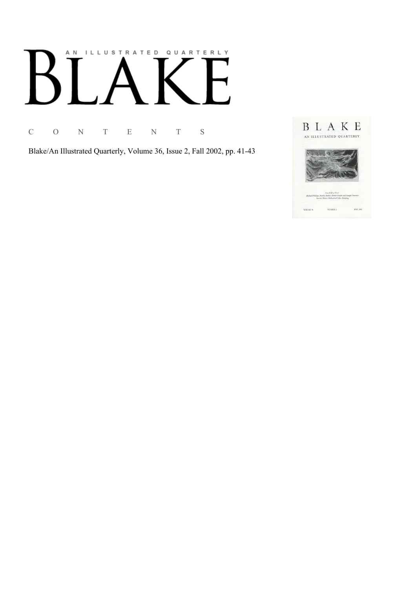# AN ILLUSTRATED QUARTERLY

C O N T E N T S

Blake/An Illustrated Quarterly, Volume 36, Issue 2, Fall 2002, pp. 41-43

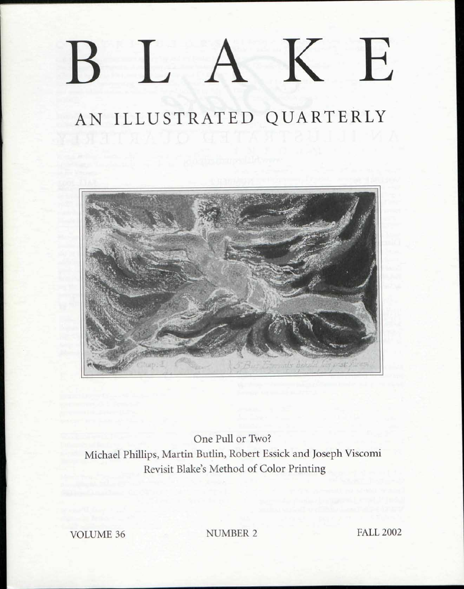## K E  $\perp$  A

## AN ILLUSTRATED QUARTERLY



One Pull or Two? Michael Phillips, Martin Butlin, Robert Essick and Joseph Viscomi Revisit Blake's Method of Color Printing

VOLUME 36 NUMBER 2 FALL 2002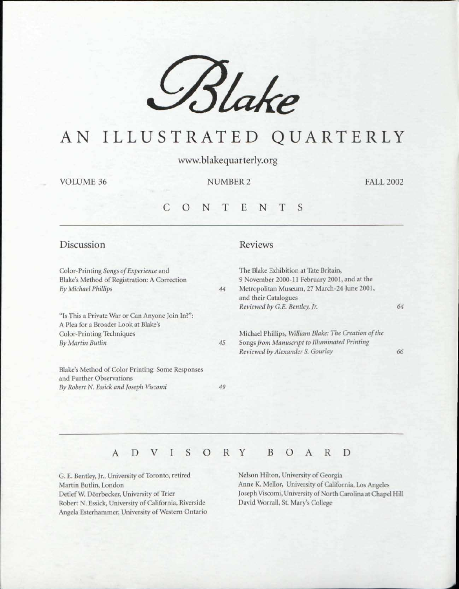*£%Ua e*

## AN ILLUSTRATE D QUARTERLY

vvww.blakequarterly.org

VOLUME 36

NUMBER 2 FALL 2002

#### CONTENT S

| Discussion                                                                                                             |    | Reviews                                                                                                                                                      |    |
|------------------------------------------------------------------------------------------------------------------------|----|--------------------------------------------------------------------------------------------------------------------------------------------------------------|----|
| Color-Printing Songs of Experience and<br>Blake's Method of Registration: A Correction<br>By Michael Phillips          | 44 | The Blake Exhibition at Tate Britain,<br>9 November 2000-11 February 2001, and at the<br>Metropolitan Museum, 27 March-24 June 2001,<br>and their Catalogues |    |
| "Is This a Private War or Can Anyone Join In?":<br>A Plea for a Broader Look at Blake's<br>Color-Printing Techniques   |    | Reviewed by G.E. Bentley, Jr.<br>Michael Phillips, William Blake: The Creation of the                                                                        | 64 |
| <b>By Martin Butlin</b>                                                                                                | 45 | Songs from Manuscript to Illuminated Printing<br>Reviewed by Alexander S. Gourlay                                                                            | 66 |
| Blake's Method of Color Printing: Some Responses<br>and Further Observations<br>By Robert N. Essick and Joseph Viscomi | 49 |                                                                                                                                                              |    |

#### ADVISOR Y BOAR D

G. E. Bentley, Jr., University of Toronto, retired Martin Butlin, London Detlef W. Dorrbecker, University of Trier Robert N. Essick, University of California, Riverside Angela Esterhammer, University of Western Ontario

Nelson Hilton, University of Georgia Anne K. Mellor, University of California, Los Angeles Joseph Viscomi, University of North Carolina at Chapel Hill David Worrall, St. Mary's College